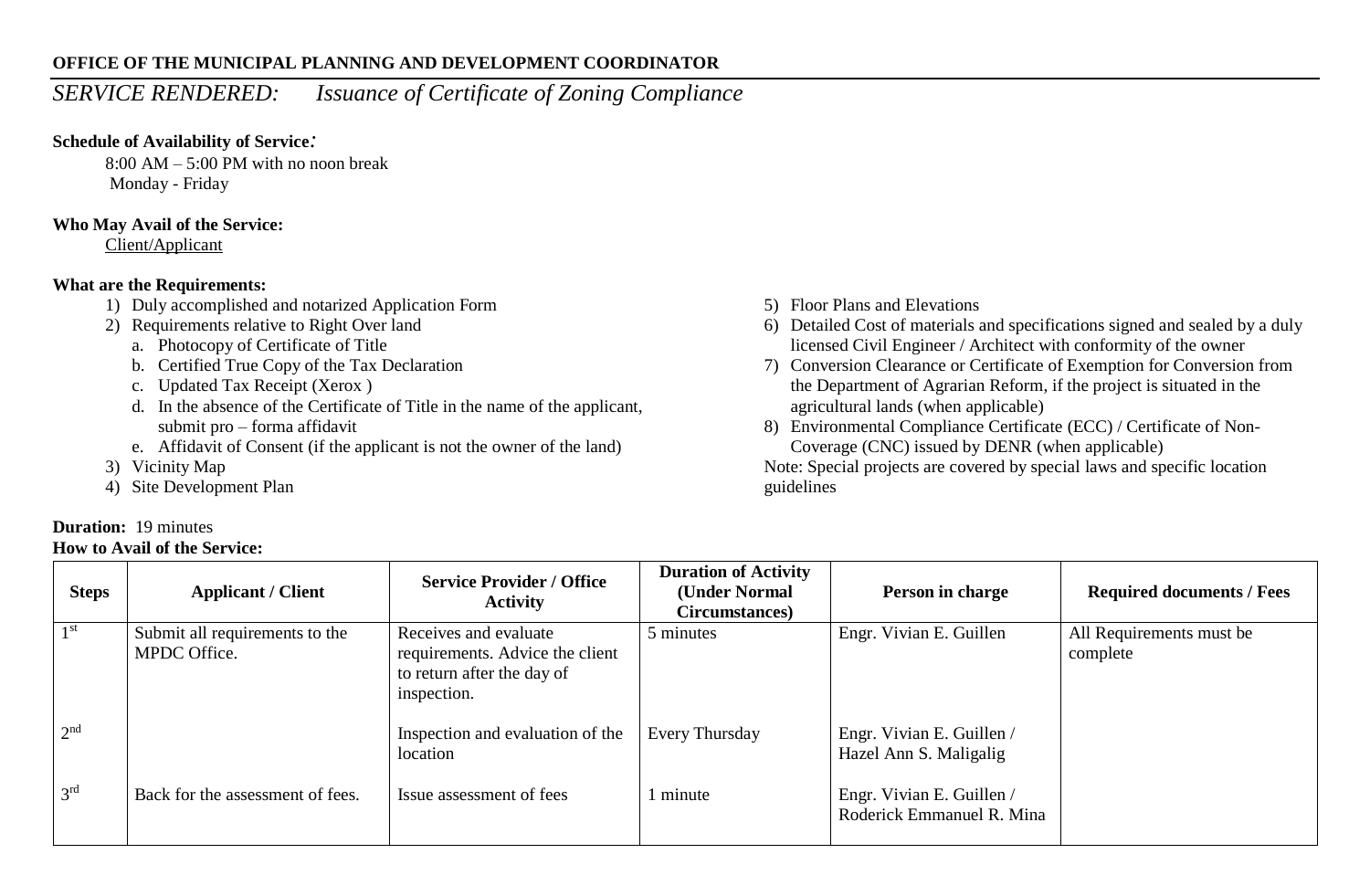#### **OFFICE OF THE MUNICIPAL PLANNING AND DEVELOPMENT COORDINATOR**

# *SERVICE RENDERED: Issuance of Certificate of Zoning Compliance*

# **Schedule of Availability of Service***:*

 $8:00$  AM – 5:00 PM with no noon break Monday - Friday

## **Who May Avail of the Service:**

Client/Applicant

# **What are the Requirements:**

- 1) Duly accomplished and notarized Application Form
- 2) Requirements relative to Right Over land
	- a. Photocopy of Certificate of Title
	- b. Certified True Copy of the Tax Declaration
	- c. Updated Tax Receipt (Xerox )
	- d. In the absence of the Certificate of Title in the name of the applicant, submit pro – forma affidavit
	- e. Affidavit of Consent (if the applicant is not the owner of the land)
- 3) Vicinity Map
- 4) Site Development Plan

# **Duration:** 19 minutes

### **How to Avail of the Service:**

- 5) Floor Plans and Elevations
- 6) Detailed Cost of materials and specifications signed and sealed by a duly licensed Civil Engineer / Architect with conformity of the owner
- 7) Conversion Clearance or Certificate of Exemption for Conversion from the Department of Agrarian Reform, if the project is situated in the agricultural lands (when applicable)
- 8) Environmental Compliance Certificate (ECC) / Certificate of Non-Coverage (CNC) issued by DENR (when applicable)

Note: Special projects are covered by special laws and specific location guidelines

| <b>Steps</b>    | <b>Applicant / Client</b>                      | <b>Service Provider / Office</b><br><b>Activity</b>                                                   | <b>Duration of Activity</b><br>(Under Normal<br>Circumstances) | Person in charge                                       | <b>Required documents / Fees</b>     |
|-----------------|------------------------------------------------|-------------------------------------------------------------------------------------------------------|----------------------------------------------------------------|--------------------------------------------------------|--------------------------------------|
| 1 st            | Submit all requirements to the<br>MPDC Office. | Receives and evaluate<br>requirements. Advice the client<br>to return after the day of<br>inspection. | 5 minutes                                                      | Engr. Vivian E. Guillen                                | All Requirements must be<br>complete |
| 2 <sup>nd</sup> |                                                | Inspection and evaluation of the<br>location                                                          | Every Thursday                                                 | Engr. Vivian E. Guillen /<br>Hazel Ann S. Maligalig    |                                      |
| 3 <sup>rd</sup> | Back for the assessment of fees.               | Issue assessment of fees                                                                              | 1 minute                                                       | Engr. Vivian E. Guillen /<br>Roderick Emmanuel R. Mina |                                      |